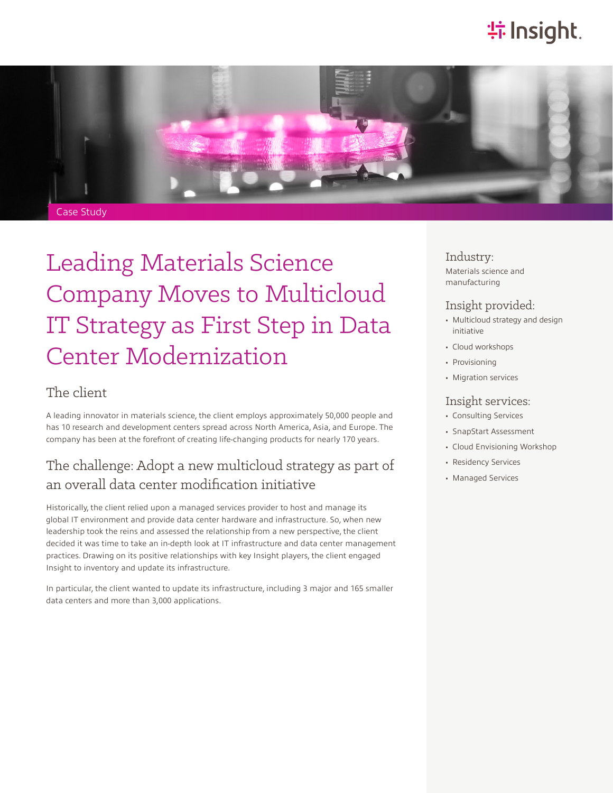## **特Insight**.



# Leading Materials Science Company Moves to Multicloud IT Strategy as First Step in Data Center Modernization

### The client

A leading innovator in materials science, the client employs approximately 50,000 people and has 10 research and development centers spread across North America, Asia, and Europe. The company has been at the forefront of creating life-changing products for nearly 170 years.

### The challenge: Adopt a new multicloud strategy as part of an overall data center modification initiative

Historically, the client relied upon a managed services provider to host and manage its global IT environment and provide data center hardware and infrastructure. So, when new leadership took the reins and assessed the relationship from a new perspective, the client decided it was time to take an in-depth look at IT infrastructure and data center management practices. Drawing on its positive relationships with key Insight players, the client engaged Insight to inventory and update its infrastructure.

In particular, the client wanted to update its infrastructure, including 3 major and 165 smaller data centers and more than 3,000 applications.

Industry:

Materials science and manufacturing

#### Insight provided:

- Multicloud strategy and design initiative
- Cloud workshops
- Provisioning
- Migration services

#### Insight services:

- Consulting Services
- SnapStart Assessment
- Cloud Envisioning Workshop
- Residency Services
- Managed Services